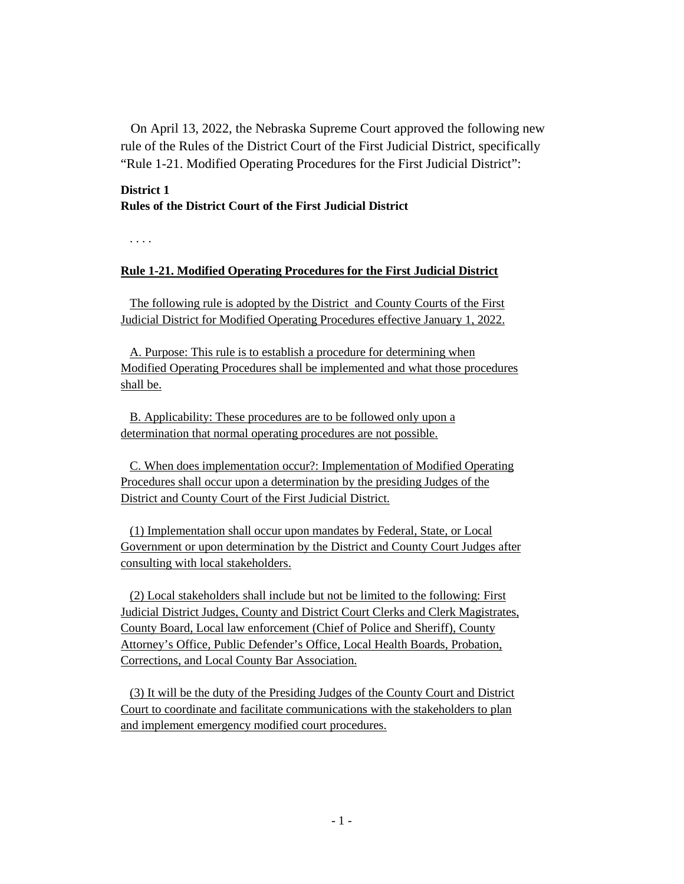On April 13, 2022, the Nebraska Supreme Court approved the following new rule of the Rules of the District Court of the First Judicial District, specifically "Rule 1-21. Modified Operating Procedures for the First Judicial District":

## **District 1 Rules of the District Court of the First Judicial District**

. . . .

## **Rule 1-21. Modified Operating Procedures for the First Judicial District**

The following rule is adopted by the District and County Courts of the First Judicial District for Modified Operating Procedures effective January 1, 2022.

A. Purpose: This rule is to establish a procedure for determining when Modified Operating Procedures shall be implemented and what those procedures shall be.

B. Applicability: These procedures are to be followed only upon a determination that normal operating procedures are not possible.

C. When does implementation occur?: Implementation of Modified Operating Procedures shall occur upon a determination by the presiding Judges of the District and County Court of the First Judicial District.

(1) Implementation shall occur upon mandates by Federal, State, or Local Government or upon determination by the District and County Court Judges after consulting with local stakeholders.

(2) Local stakeholders shall include but not be limited to the following: First Judicial District Judges, County and District Court Clerks and Clerk Magistrates, County Board, Local law enforcement (Chief of Police and Sheriff), County Attorney's Office, Public Defender's Office, Local Health Boards, Probation, Corrections, and Local County Bar Association.

(3) It will be the duty of the Presiding Judges of the County Court and District Court to coordinate and facilitate communications with the stakeholders to plan and implement emergency modified court procedures.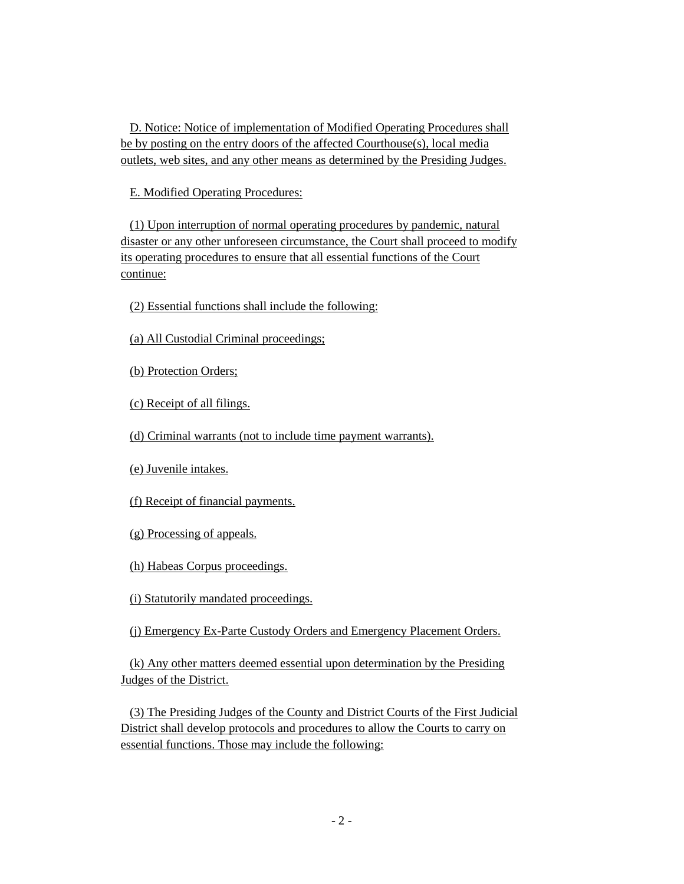D. Notice: Notice of implementation of Modified Operating Procedures shall be by posting on the entry doors of the affected Courthouse(s), local media outlets, web sites, and any other means as determined by the Presiding Judges.

E. Modified Operating Procedures:

(1) Upon interruption of normal operating procedures by pandemic, natural disaster or any other unforeseen circumstance, the Court shall proceed to modify its operating procedures to ensure that all essential functions of the Court continue:

(2) Essential functions shall include the following:

(a) All Custodial Criminal proceedings;

(b) Protection Orders;

(c) Receipt of all filings.

(d) Criminal warrants (not to include time payment warrants).

(e) Juvenile intakes.

(f) Receipt of financial payments.

(g) Processing of appeals.

(h) Habeas Corpus proceedings.

(i) Statutorily mandated proceedings.

(j) Emergency Ex-Parte Custody Orders and Emergency Placement Orders.

(k) Any other matters deemed essential upon determination by the Presiding Judges of the District.

(3) The Presiding Judges of the County and District Courts of the First Judicial District shall develop protocols and procedures to allow the Courts to carry on essential functions. Those may include the following: